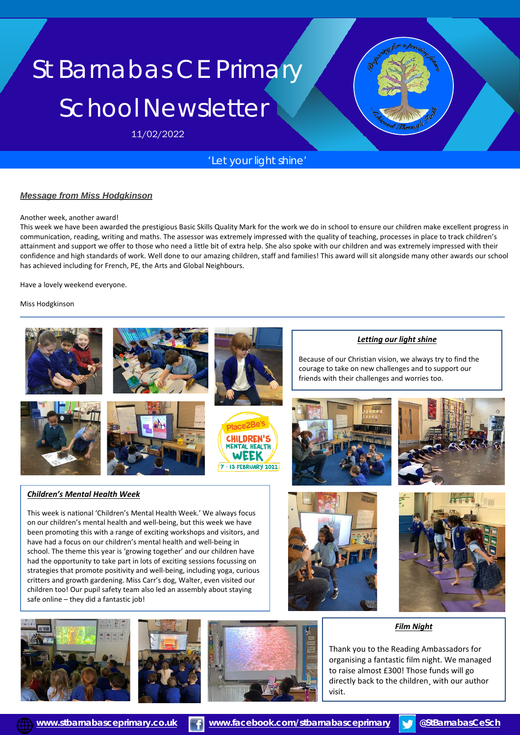# St Barnabas CE Primary School Newsletter

11/02/2022

# *'Let your light shine'*

#### *Message from Miss Hodgkinson*

#### Another week, another award!

This week we have been awarded the prestigious Basic Skills Quality Mark for the work we do in school to ensure our children make excellent progress in communication, reading, writing and maths. The assessor was extremely impressed with the quality of teaching, processes in place to track children's attainment and support we offer to those who need a little bit of extra help. She also spoke with our children and was extremely impressed with their confidence and high standards of work. Well done to our amazing children, staff and families! This award will sit alongside many other awards our school has achieved including for French, PE, the Arts and Global Neighbours.

Have a lovely weekend everyone.

Miss Hodgkinson



school. The theme this year is 'growing together' and our children have had the opportunity to take part in lots of exciting sessions focussing on strategies that promote positivity and well-being, including yoga, curious critters and growth gardening. Miss Carr's dog, Walter, even visited our children too! Our pupil safety team also led an assembly about staying safe online – they did a fantastic job!







*Film Night*

Thank you to the Reading Ambassadors for organising a fantastic film night. We managed to raise almost £300! Those funds will go directly back to the children¸ with our author visit.